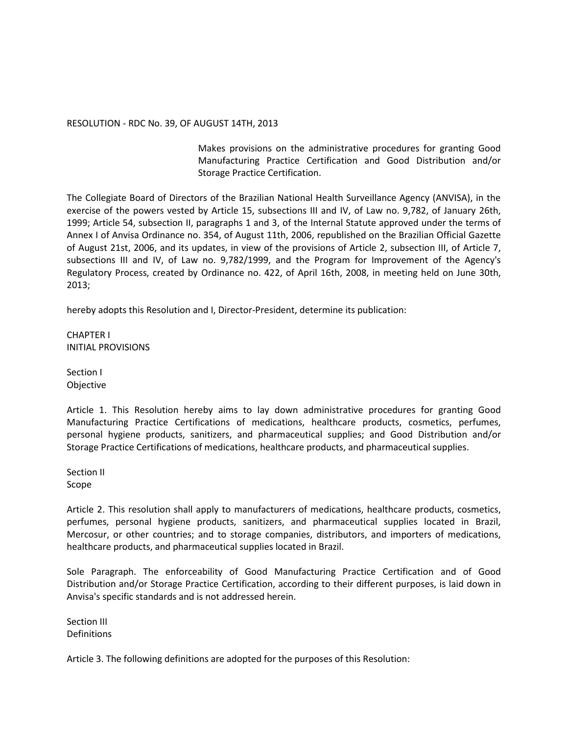## RESOLUTION - RDC No. 39, OF AUGUST 14TH, 2013

Makes provisions on the administrative procedures for granting Good Manufacturing Practice Certification and Good Distribution and/or Storage Practice Certification.

The Collegiate Board of Directors of the Brazilian National Health Surveillance Agency (ANVISA), in the exercise of the powers vested by Article 15, subsections III and IV, of Law no. 9,782, of January 26th, 1999; Article 54, subsection II, paragraphs 1 and 3, of the Internal Statute approved under the terms of Annex I of Anvisa Ordinance no. 354, of August 11th, 2006, republished on the Brazilian Official Gazette of August 21st, 2006, and its updates, in view of the provisions of Article 2, subsection III, of Article 7, subsections III and IV, of Law no. 9,782/1999, and the Program for Improvement of the Agency's Regulatory Process, created by Ordinance no. 422, of April 16th, 2008, in meeting held on June 30th, 2013;

hereby adopts this Resolution and I, Director-President, determine its publication:

CHAPTER I INITIAL PROVISIONS

Section I Objective

Article 1. This Resolution hereby aims to lay down administrative procedures for granting Good Manufacturing Practice Certifications of medications, healthcare products, cosmetics, perfumes, personal hygiene products, sanitizers, and pharmaceutical supplies; and Good Distribution and/or Storage Practice Certifications of medications, healthcare products, and pharmaceutical supplies.

Section II Scope

Article 2. This resolution shall apply to manufacturers of medications, healthcare products, cosmetics, perfumes, personal hygiene products, sanitizers, and pharmaceutical supplies located in Brazil, Mercosur, or other countries; and to storage companies, distributors, and importers of medications, healthcare products, and pharmaceutical supplies located in Brazil.

Sole Paragraph. The enforceability of Good Manufacturing Practice Certification and of Good Distribution and/or Storage Practice Certification, according to their different purposes, is laid down in Anvisa's specific standards and is not addressed herein.

Section III Definitions

Article 3. The following definitions are adopted for the purposes of this Resolution: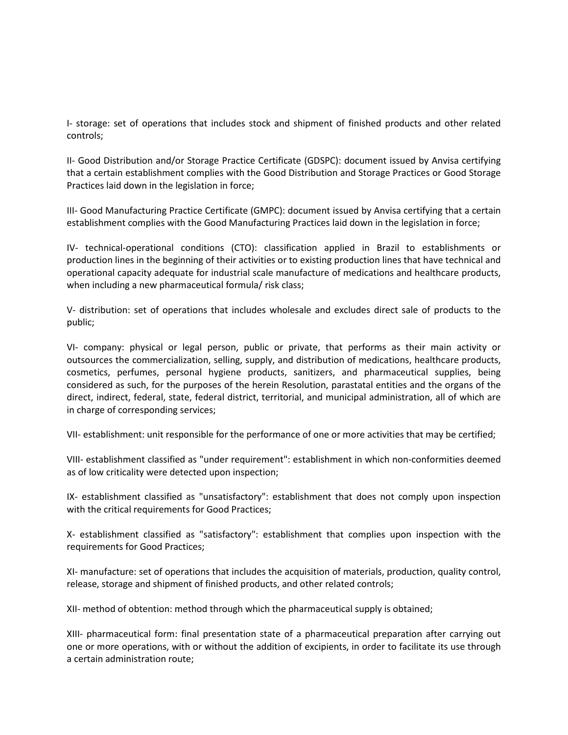I- storage: set of operations that includes stock and shipment of finished products and other related controls;

II- Good Distribution and/or Storage Practice Certificate (GDSPC): document issued by Anvisa certifying that a certain establishment complies with the Good Distribution and Storage Practices or Good Storage Practices laid down in the legislation in force;

III- Good Manufacturing Practice Certificate (GMPC): document issued by Anvisa certifying that a certain establishment complies with the Good Manufacturing Practices laid down in the legislation in force;

IV- technical-operational conditions (CTO): classification applied in Brazil to establishments or production lines in the beginning of their activities or to existing production lines that have technical and operational capacity adequate for industrial scale manufacture of medications and healthcare products, when including a new pharmaceutical formula/ risk class;

V- distribution: set of operations that includes wholesale and excludes direct sale of products to the public;

VI- company: physical or legal person, public or private, that performs as their main activity or outsources the commercialization, selling, supply, and distribution of medications, healthcare products, cosmetics, perfumes, personal hygiene products, sanitizers, and pharmaceutical supplies, being considered as such, for the purposes of the herein Resolution, parastatal entities and the organs of the direct, indirect, federal, state, federal district, territorial, and municipal administration, all of which are in charge of corresponding services;

VII- establishment: unit responsible for the performance of one or more activities that may be certified;

VIII- establishment classified as "under requirement": establishment in which non-conformities deemed as of low criticality were detected upon inspection;

IX- establishment classified as "unsatisfactory": establishment that does not comply upon inspection with the critical requirements for Good Practices;

X- establishment classified as "satisfactory": establishment that complies upon inspection with the requirements for Good Practices;

XI- manufacture: set of operations that includes the acquisition of materials, production, quality control, release, storage and shipment of finished products, and other related controls;

XII- method of obtention: method through which the pharmaceutical supply is obtained;

XIII- pharmaceutical form: final presentation state of a pharmaceutical preparation after carrying out one or more operations, with or without the addition of excipients, in order to facilitate its use through a certain administration route;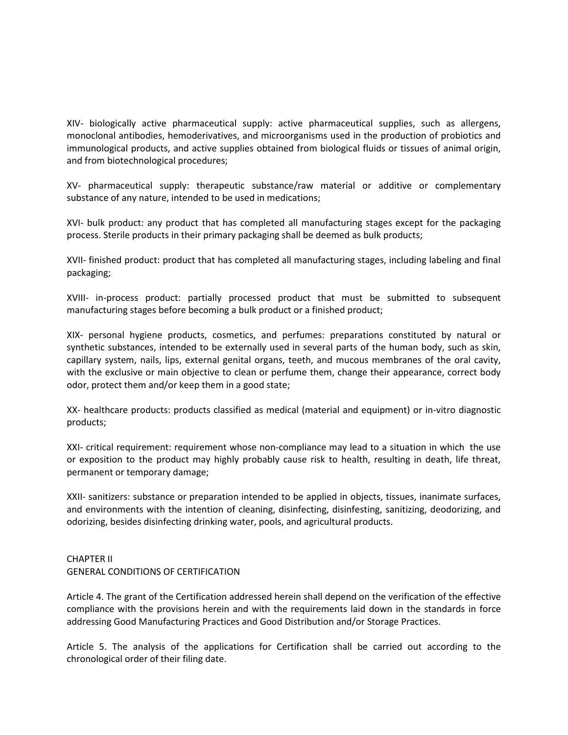XIV- biologically active pharmaceutical supply: active pharmaceutical supplies, such as allergens, monoclonal antibodies, hemoderivatives, and microorganisms used in the production of probiotics and immunological products, and active supplies obtained from biological fluids or tissues of animal origin, and from biotechnological procedures;

XV- pharmaceutical supply: therapeutic substance/raw material or additive or complementary substance of any nature, intended to be used in medications;

XVI- bulk product: any product that has completed all manufacturing stages except for the packaging process. Sterile products in their primary packaging shall be deemed as bulk products;

XVII- finished product: product that has completed all manufacturing stages, including labeling and final packaging;

XVIII- in-process product: partially processed product that must be submitted to subsequent manufacturing stages before becoming a bulk product or a finished product;

XIX- personal hygiene products, cosmetics, and perfumes: preparations constituted by natural or synthetic substances, intended to be externally used in several parts of the human body, such as skin, capillary system, nails, lips, external genital organs, teeth, and mucous membranes of the oral cavity, with the exclusive or main objective to clean or perfume them, change their appearance, correct body odor, protect them and/or keep them in a good state;

XX- healthcare products: products classified as medical (material and equipment) or in-vitro diagnostic products;

XXI- critical requirement: requirement whose non-compliance may lead to a situation in which the use or exposition to the product may highly probably cause risk to health, resulting in death, life threat, permanent or temporary damage;

XXII- sanitizers: substance or preparation intended to be applied in objects, tissues, inanimate surfaces, and environments with the intention of cleaning, disinfecting, disinfesting, sanitizing, deodorizing, and odorizing, besides disinfecting drinking water, pools, and agricultural products.

## CHAPTER II GENERAL CONDITIONS OF CERTIFICATION

Article 4. The grant of the Certification addressed herein shall depend on the verification of the effective compliance with the provisions herein and with the requirements laid down in the standards in force addressing Good Manufacturing Practices and Good Distribution and/or Storage Practices.

Article 5. The analysis of the applications for Certification shall be carried out according to the chronological order of their filing date.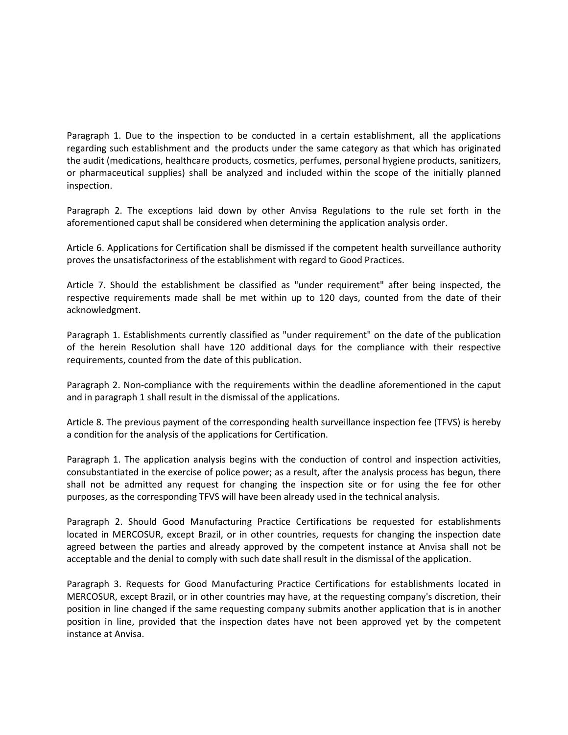Paragraph 1. Due to the inspection to be conducted in a certain establishment, all the applications regarding such establishment and the products under the same category as that which has originated the audit (medications, healthcare products, cosmetics, perfumes, personal hygiene products, sanitizers, or pharmaceutical supplies) shall be analyzed and included within the scope of the initially planned inspection.

Paragraph 2. The exceptions laid down by other Anvisa Regulations to the rule set forth in the aforementioned caput shall be considered when determining the application analysis order.

Article 6. Applications for Certification shall be dismissed if the competent health surveillance authority proves the unsatisfactoriness of the establishment with regard to Good Practices.

Article 7. Should the establishment be classified as "under requirement" after being inspected, the respective requirements made shall be met within up to 120 days, counted from the date of their acknowledgment.

Paragraph 1. Establishments currently classified as "under requirement" on the date of the publication of the herein Resolution shall have 120 additional days for the compliance with their respective requirements, counted from the date of this publication.

Paragraph 2. Non-compliance with the requirements within the deadline aforementioned in the caput and in paragraph 1 shall result in the dismissal of the applications.

Article 8. The previous payment of the corresponding health surveillance inspection fee (TFVS) is hereby a condition for the analysis of the applications for Certification.

Paragraph 1. The application analysis begins with the conduction of control and inspection activities, consubstantiated in the exercise of police power; as a result, after the analysis process has begun, there shall not be admitted any request for changing the inspection site or for using the fee for other purposes, as the corresponding TFVS will have been already used in the technical analysis.

Paragraph 2. Should Good Manufacturing Practice Certifications be requested for establishments located in MERCOSUR, except Brazil, or in other countries, requests for changing the inspection date agreed between the parties and already approved by the competent instance at Anvisa shall not be acceptable and the denial to comply with such date shall result in the dismissal of the application.

Paragraph 3. Requests for Good Manufacturing Practice Certifications for establishments located in MERCOSUR, except Brazil, or in other countries may have, at the requesting company's discretion, their position in line changed if the same requesting company submits another application that is in another position in line, provided that the inspection dates have not been approved yet by the competent instance at Anvisa.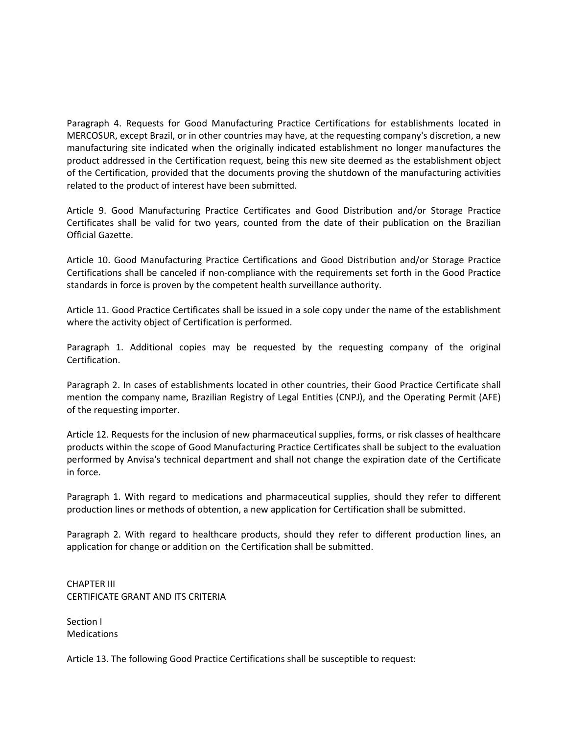Paragraph 4. Requests for Good Manufacturing Practice Certifications for establishments located in MERCOSUR, except Brazil, or in other countries may have, at the requesting company's discretion, a new manufacturing site indicated when the originally indicated establishment no longer manufactures the product addressed in the Certification request, being this new site deemed as the establishment object of the Certification, provided that the documents proving the shutdown of the manufacturing activities related to the product of interest have been submitted.

Article 9. Good Manufacturing Practice Certificates and Good Distribution and/or Storage Practice Certificates shall be valid for two years, counted from the date of their publication on the Brazilian Official Gazette.

Article 10. Good Manufacturing Practice Certifications and Good Distribution and/or Storage Practice Certifications shall be canceled if non-compliance with the requirements set forth in the Good Practice standards in force is proven by the competent health surveillance authority.

Article 11. Good Practice Certificates shall be issued in a sole copy under the name of the establishment where the activity object of Certification is performed.

Paragraph 1. Additional copies may be requested by the requesting company of the original Certification.

Paragraph 2. In cases of establishments located in other countries, their Good Practice Certificate shall mention the company name, Brazilian Registry of Legal Entities (CNPJ), and the Operating Permit (AFE) of the requesting importer.

Article 12. Requests for the inclusion of new pharmaceutical supplies, forms, or risk classes of healthcare products within the scope of Good Manufacturing Practice Certificates shall be subject to the evaluation performed by Anvisa's technical department and shall not change the expiration date of the Certificate in force.

Paragraph 1. With regard to medications and pharmaceutical supplies, should they refer to different production lines or methods of obtention, a new application for Certification shall be submitted.

Paragraph 2. With regard to healthcare products, should they refer to different production lines, an application for change or addition on the Certification shall be submitted.

CHAPTER III CERTIFICATE GRANT AND ITS CRITERIA

Section I Medications

Article 13. The following Good Practice Certifications shall be susceptible to request: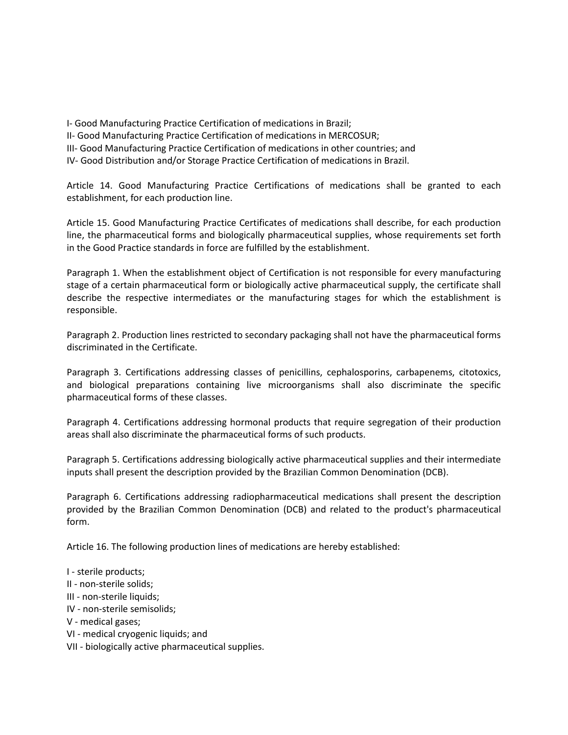I- Good Manufacturing Practice Certification of medications in Brazil;

II- Good Manufacturing Practice Certification of medications in MERCOSUR;

III- Good Manufacturing Practice Certification of medications in other countries; and

IV- Good Distribution and/or Storage Practice Certification of medications in Brazil.

Article 14. Good Manufacturing Practice Certifications of medications shall be granted to each establishment, for each production line.

Article 15. Good Manufacturing Practice Certificates of medications shall describe, for each production line, the pharmaceutical forms and biologically pharmaceutical supplies, whose requirements set forth in the Good Practice standards in force are fulfilled by the establishment.

Paragraph 1. When the establishment object of Certification is not responsible for every manufacturing stage of a certain pharmaceutical form or biologically active pharmaceutical supply, the certificate shall describe the respective intermediates or the manufacturing stages for which the establishment is responsible.

Paragraph 2. Production lines restricted to secondary packaging shall not have the pharmaceutical forms discriminated in the Certificate.

Paragraph 3. Certifications addressing classes of penicillins, cephalosporins, carbapenems, citotoxics, and biological preparations containing live microorganisms shall also discriminate the specific pharmaceutical forms of these classes.

Paragraph 4. Certifications addressing hormonal products that require segregation of their production areas shall also discriminate the pharmaceutical forms of such products.

Paragraph 5. Certifications addressing biologically active pharmaceutical supplies and their intermediate inputs shall present the description provided by the Brazilian Common Denomination (DCB).

Paragraph 6. Certifications addressing radiopharmaceutical medications shall present the description provided by the Brazilian Common Denomination (DCB) and related to the product's pharmaceutical form.

Article 16. The following production lines of medications are hereby established:

I - sterile products;

- II non-sterile solids;
- III non-sterile liquids;
- IV non-sterile semisolids;
- V medical gases;
- VI medical cryogenic liquids; and
- VII biologically active pharmaceutical supplies.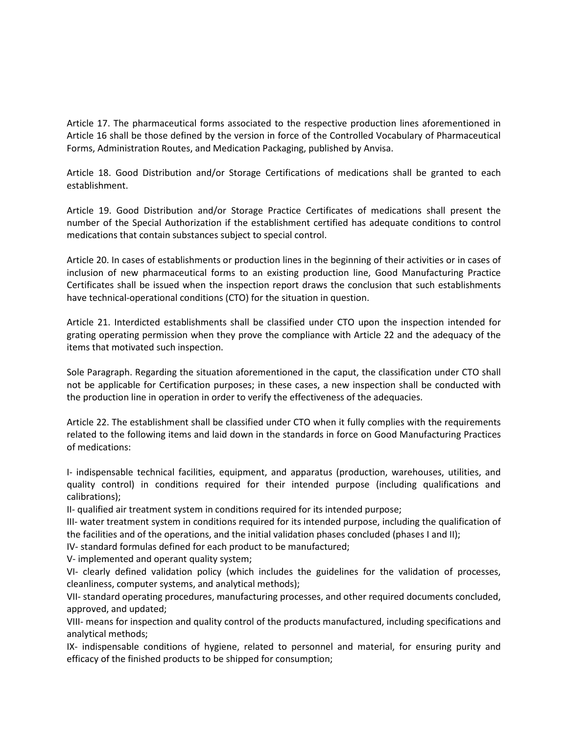Article 17. The pharmaceutical forms associated to the respective production lines aforementioned in Article 16 shall be those defined by the version in force of the Controlled Vocabulary of Pharmaceutical Forms, Administration Routes, and Medication Packaging, published by Anvisa.

Article 18. Good Distribution and/or Storage Certifications of medications shall be granted to each establishment.

Article 19. Good Distribution and/or Storage Practice Certificates of medications shall present the number of the Special Authorization if the establishment certified has adequate conditions to control medications that contain substances subject to special control.

Article 20. In cases of establishments or production lines in the beginning of their activities or in cases of inclusion of new pharmaceutical forms to an existing production line, Good Manufacturing Practice Certificates shall be issued when the inspection report draws the conclusion that such establishments have technical-operational conditions (CTO) for the situation in question.

Article 21. Interdicted establishments shall be classified under CTO upon the inspection intended for grating operating permission when they prove the compliance with Article 22 and the adequacy of the items that motivated such inspection.

Sole Paragraph. Regarding the situation aforementioned in the caput, the classification under CTO shall not be applicable for Certification purposes; in these cases, a new inspection shall be conducted with the production line in operation in order to verify the effectiveness of the adequacies.

Article 22. The establishment shall be classified under CTO when it fully complies with the requirements related to the following items and laid down in the standards in force on Good Manufacturing Practices of medications:

I- indispensable technical facilities, equipment, and apparatus (production, warehouses, utilities, and quality control) in conditions required for their intended purpose (including qualifications and calibrations);

II- qualified air treatment system in conditions required for its intended purpose;

III- water treatment system in conditions required for its intended purpose, including the qualification of the facilities and of the operations, and the initial validation phases concluded (phases I and II);

IV- standard formulas defined for each product to be manufactured;

V- implemented and operant quality system;

VI- clearly defined validation policy (which includes the guidelines for the validation of processes, cleanliness, computer systems, and analytical methods);

VII- standard operating procedures, manufacturing processes, and other required documents concluded, approved, and updated;

VIII- means for inspection and quality control of the products manufactured, including specifications and analytical methods;

IX- indispensable conditions of hygiene, related to personnel and material, for ensuring purity and efficacy of the finished products to be shipped for consumption;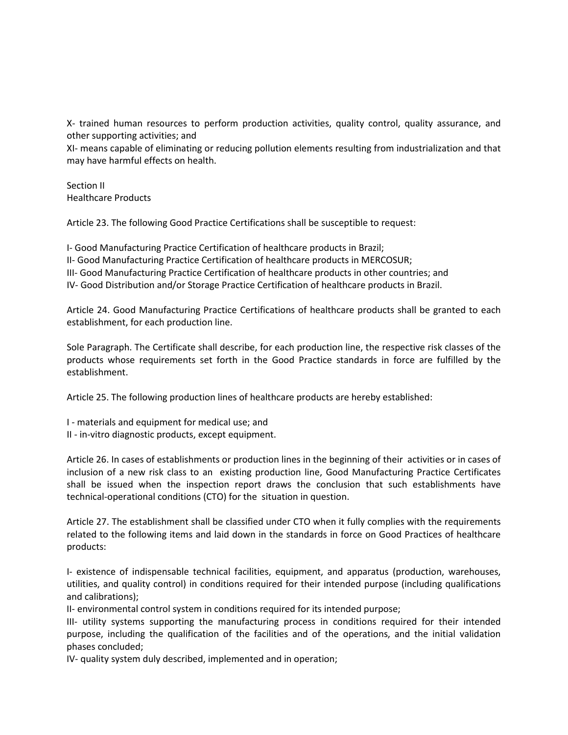X- trained human resources to perform production activities, quality control, quality assurance, and other supporting activities; and

XI- means capable of eliminating or reducing pollution elements resulting from industrialization and that may have harmful effects on health.

Section II Healthcare Products

Article 23. The following Good Practice Certifications shall be susceptible to request:

I- Good Manufacturing Practice Certification of healthcare products in Brazil; II- Good Manufacturing Practice Certification of healthcare products in MERCOSUR; III- Good Manufacturing Practice Certification of healthcare products in other countries; and IV- Good Distribution and/or Storage Practice Certification of healthcare products in Brazil.

Article 24. Good Manufacturing Practice Certifications of healthcare products shall be granted to each establishment, for each production line.

Sole Paragraph. The Certificate shall describe, for each production line, the respective risk classes of the products whose requirements set forth in the Good Practice standards in force are fulfilled by the establishment.

Article 25. The following production lines of healthcare products are hereby established:

- I materials and equipment for medical use; and
- II in-vitro diagnostic products, except equipment.

Article 26. In cases of establishments or production lines in the beginning of their activities or in cases of inclusion of a new risk class to an existing production line, Good Manufacturing Practice Certificates shall be issued when the inspection report draws the conclusion that such establishments have technical-operational conditions (CTO) for the situation in question.

Article 27. The establishment shall be classified under CTO when it fully complies with the requirements related to the following items and laid down in the standards in force on Good Practices of healthcare products:

I- existence of indispensable technical facilities, equipment, and apparatus (production, warehouses, utilities, and quality control) in conditions required for their intended purpose (including qualifications and calibrations);

II- environmental control system in conditions required for its intended purpose;

III- utility systems supporting the manufacturing process in conditions required for their intended purpose, including the qualification of the facilities and of the operations, and the initial validation phases concluded;

IV- quality system duly described, implemented and in operation;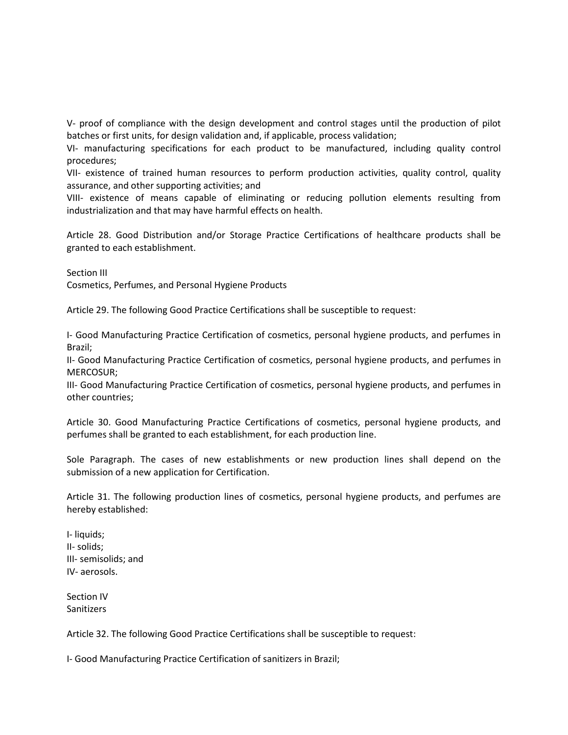V- proof of compliance with the design development and control stages until the production of pilot batches or first units, for design validation and, if applicable, process validation;

VI- manufacturing specifications for each product to be manufactured, including quality control procedures;

VII- existence of trained human resources to perform production activities, quality control, quality assurance, and other supporting activities; and

VIII- existence of means capable of eliminating or reducing pollution elements resulting from industrialization and that may have harmful effects on health.

Article 28. Good Distribution and/or Storage Practice Certifications of healthcare products shall be granted to each establishment.

Section III

Cosmetics, Perfumes, and Personal Hygiene Products

Article 29. The following Good Practice Certifications shall be susceptible to request:

I- Good Manufacturing Practice Certification of cosmetics, personal hygiene products, and perfumes in Brazil;

II- Good Manufacturing Practice Certification of cosmetics, personal hygiene products, and perfumes in MERCOSUR;

III- Good Manufacturing Practice Certification of cosmetics, personal hygiene products, and perfumes in other countries;

Article 30. Good Manufacturing Practice Certifications of cosmetics, personal hygiene products, and perfumes shall be granted to each establishment, for each production line.

Sole Paragraph. The cases of new establishments or new production lines shall depend on the submission of a new application for Certification.

Article 31. The following production lines of cosmetics, personal hygiene products, and perfumes are hereby established:

I- liquids; II- solids; III- semisolids; and IV- aerosols.

Section IV Sanitizers

Article 32. The following Good Practice Certifications shall be susceptible to request:

I- Good Manufacturing Practice Certification of sanitizers in Brazil;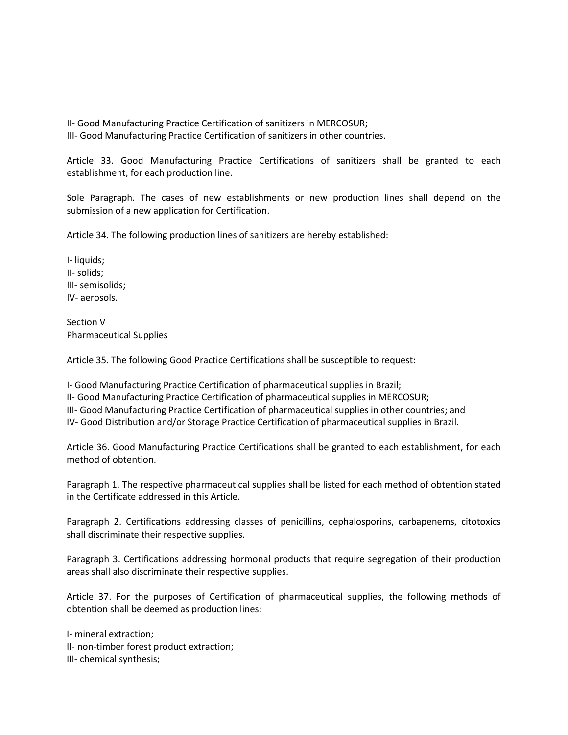II- Good Manufacturing Practice Certification of sanitizers in MERCOSUR; III- Good Manufacturing Practice Certification of sanitizers in other countries.

Article 33. Good Manufacturing Practice Certifications of sanitizers shall be granted to each establishment, for each production line.

Sole Paragraph. The cases of new establishments or new production lines shall depend on the submission of a new application for Certification.

Article 34. The following production lines of sanitizers are hereby established:

I- liquids; II- solids; III- semisolids; IV- aerosols.

Section V Pharmaceutical Supplies

Article 35. The following Good Practice Certifications shall be susceptible to request:

I- Good Manufacturing Practice Certification of pharmaceutical supplies in Brazil; II- Good Manufacturing Practice Certification of pharmaceutical supplies in MERCOSUR; III- Good Manufacturing Practice Certification of pharmaceutical supplies in other countries; and IV- Good Distribution and/or Storage Practice Certification of pharmaceutical supplies in Brazil.

Article 36. Good Manufacturing Practice Certifications shall be granted to each establishment, for each method of obtention.

Paragraph 1. The respective pharmaceutical supplies shall be listed for each method of obtention stated in the Certificate addressed in this Article.

Paragraph 2. Certifications addressing classes of penicillins, cephalosporins, carbapenems, citotoxics shall discriminate their respective supplies.

Paragraph 3. Certifications addressing hormonal products that require segregation of their production areas shall also discriminate their respective supplies.

Article 37. For the purposes of Certification of pharmaceutical supplies, the following methods of obtention shall be deemed as production lines:

I- mineral extraction; II- non-timber forest product extraction; III- chemical synthesis;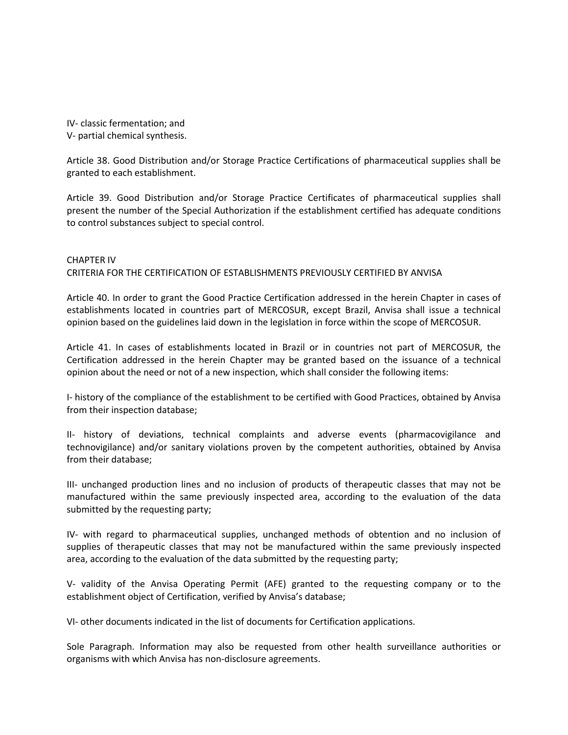IV- classic fermentation; and V- partial chemical synthesis.

Article 38. Good Distribution and/or Storage Practice Certifications of pharmaceutical supplies shall be granted to each establishment.

Article 39. Good Distribution and/or Storage Practice Certificates of pharmaceutical supplies shall present the number of the Special Authorization if the establishment certified has adequate conditions to control substances subject to special control.

## CHAPTER IV CRITERIA FOR THE CERTIFICATION OF ESTABLISHMENTS PREVIOUSLY CERTIFIED BY ANVISA

Article 40. In order to grant the Good Practice Certification addressed in the herein Chapter in cases of establishments located in countries part of MERCOSUR, except Brazil, Anvisa shall issue a technical opinion based on the guidelines laid down in the legislation in force within the scope of MERCOSUR.

Article 41. In cases of establishments located in Brazil or in countries not part of MERCOSUR, the Certification addressed in the herein Chapter may be granted based on the issuance of a technical opinion about the need or not of a new inspection, which shall consider the following items:

I- history of the compliance of the establishment to be certified with Good Practices, obtained by Anvisa from their inspection database;

II- history of deviations, technical complaints and adverse events (pharmacovigilance and technovigilance) and/or sanitary violations proven by the competent authorities, obtained by Anvisa from their database;

III- unchanged production lines and no inclusion of products of therapeutic classes that may not be manufactured within the same previously inspected area, according to the evaluation of the data submitted by the requesting party;

IV- with regard to pharmaceutical supplies, unchanged methods of obtention and no inclusion of supplies of therapeutic classes that may not be manufactured within the same previously inspected area, according to the evaluation of the data submitted by the requesting party;

V- validity of the Anvisa Operating Permit (AFE) granted to the requesting company or to the establishment object of Certification, verified by Anvisa's database;

VI- other documents indicated in the list of documents for Certification applications.

Sole Paragraph. Information may also be requested from other health surveillance authorities or organisms with which Anvisa has non-disclosure agreements.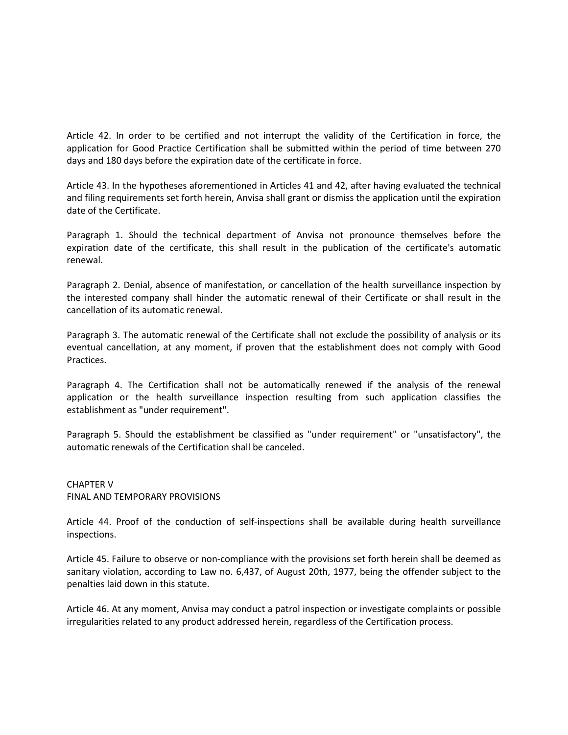Article 42. In order to be certified and not interrupt the validity of the Certification in force, the application for Good Practice Certification shall be submitted within the period of time between 270 days and 180 days before the expiration date of the certificate in force.

Article 43. In the hypotheses aforementioned in Articles 41 and 42, after having evaluated the technical and filing requirements set forth herein, Anvisa shall grant or dismiss the application until the expiration date of the Certificate.

Paragraph 1. Should the technical department of Anvisa not pronounce themselves before the expiration date of the certificate, this shall result in the publication of the certificate's automatic renewal.

Paragraph 2. Denial, absence of manifestation, or cancellation of the health surveillance inspection by the interested company shall hinder the automatic renewal of their Certificate or shall result in the cancellation of its automatic renewal.

Paragraph 3. The automatic renewal of the Certificate shall not exclude the possibility of analysis or its eventual cancellation, at any moment, if proven that the establishment does not comply with Good Practices.

Paragraph 4. The Certification shall not be automatically renewed if the analysis of the renewal application or the health surveillance inspection resulting from such application classifies the establishment as "under requirement".

Paragraph 5. Should the establishment be classified as "under requirement" or "unsatisfactory", the automatic renewals of the Certification shall be canceled.

CHAPTER V FINAL AND TEMPORARY PROVISIONS

Article 44. Proof of the conduction of self-inspections shall be available during health surveillance inspections.

Article 45. Failure to observe or non-compliance with the provisions set forth herein shall be deemed as sanitary violation, according to Law no. 6,437, of August 20th, 1977, being the offender subject to the penalties laid down in this statute.

Article 46. At any moment, Anvisa may conduct a patrol inspection or investigate complaints or possible irregularities related to any product addressed herein, regardless of the Certification process.